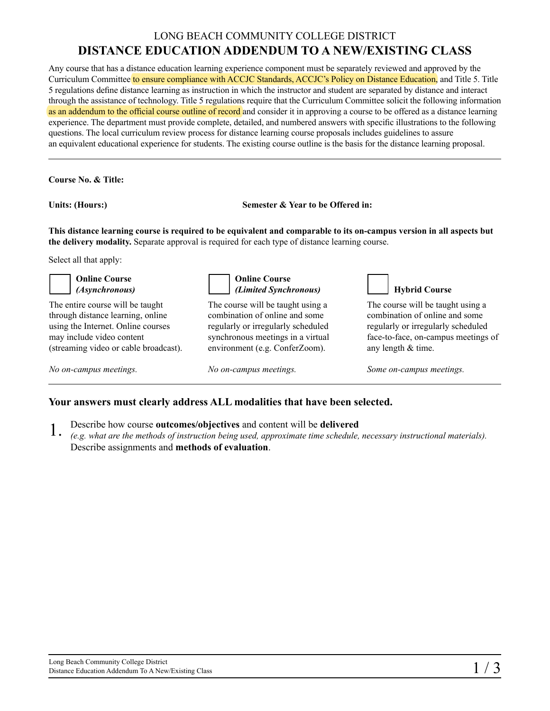## LONG BEACH COMMUNITY COLLEGE DISTRICT **DISTANCE EDUCATION ADDENDUM TO A NEW/EXISTING CLASS**

Any course that has a distance education learning experience component must be separately reviewed and approved by the Curriculum Committee to ensure compliance with ACCJC Standards, ACCJC's Policy on Distance Education, and Title 5. Title 5 regulations define distance learning as instruction in which the instructor and student are separated by distance and interact through the assistance of technology. Title 5 regulations require that the Curriculum Committee solicit the following information as an addendum to the official course outline of record and consider it in approving a course to be offered as a distance learning experience. The department must provide complete, detailed, and numbered answers with specific illustrations to the following questions. The local curriculum review process for distance learning course proposals includes guidelines to assure an equivalent educational experience for students. The existing course outline is the basis for the distance learning proposal.

**Course No. & Title:**

**Units: (Hours:) Semester & Year to be Offered in:**

**This distance learning course is required to be equivalent and comparable to its on-campus version in all aspects but the delivery modality.** Separate approval is required for each type of distance learning course.

Select all that apply:

| <b>Online Course</b><br>(Asynchronous)                                                                                                                                            | <b>Online Course</b><br>(Limited Synchronous)                                                                                                                                    | <b>Hybrid Course</b>                                                                                                                                                   |
|-----------------------------------------------------------------------------------------------------------------------------------------------------------------------------------|----------------------------------------------------------------------------------------------------------------------------------------------------------------------------------|------------------------------------------------------------------------------------------------------------------------------------------------------------------------|
| The entire course will be taught<br>through distance learning, online<br>using the Internet. Online courses<br>may include video content<br>(streaming video or cable broadcast). | The course will be taught using a<br>combination of online and some<br>regularly or irregularly scheduled<br>synchronous meetings in a virtual<br>environment (e.g. ConferZoom). | The course will be taught using a<br>combination of online and some<br>regularly or irregularly scheduled<br>face-to-face, on-campus meetings of<br>any length & time. |
| No on-campus meetings.                                                                                                                                                            | No on-campus meetings.                                                                                                                                                           | Some on-campus meetings.                                                                                                                                               |

## **Your answers must clearly address ALL modalities that have been selected.**

- Describe how course **outcomes/objectives** and content will be **delivered** 1.
- *(e.g. what are the methods of instruction being used, approximate time schedule, necessary instructional materials).*  Describe assignments and **methods of evaluation**.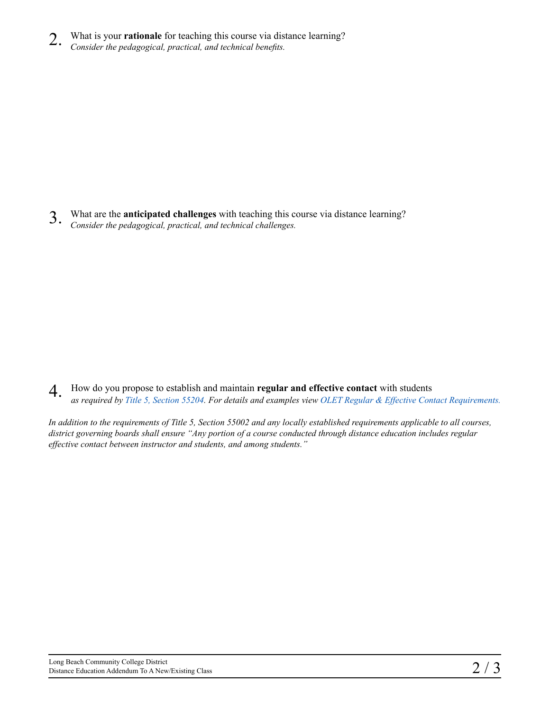- What is your **rationale** for teaching this course via distance learning? 2.
- *Consider the pedagogical, practical, and technical benefits.*

What are the **anticipated challenges** with teaching this course via distance learning? *Consider the pedagogical, practical, and technical challenges.* 3.

How do you propose to establish and maintain **regular and effective contact** with students *as required by [Title 5, Section 55204.](https://lbcc.instructure.com/courses/26684/files/196730/download?wrap=1) For details and examples view [OLET Regular & Effective Contact](https://lbcc.instructure.com/courses/26684/files/196730/download?wrap=1) Requirements.* 4.

*In addition to the requirements of Title 5, Section 55002 and any locally established requirements applicable to all courses, district governing boards shall ensure "Any portion of a course conducted through distance education includes regular effective contact between instructor and students, and among students."*